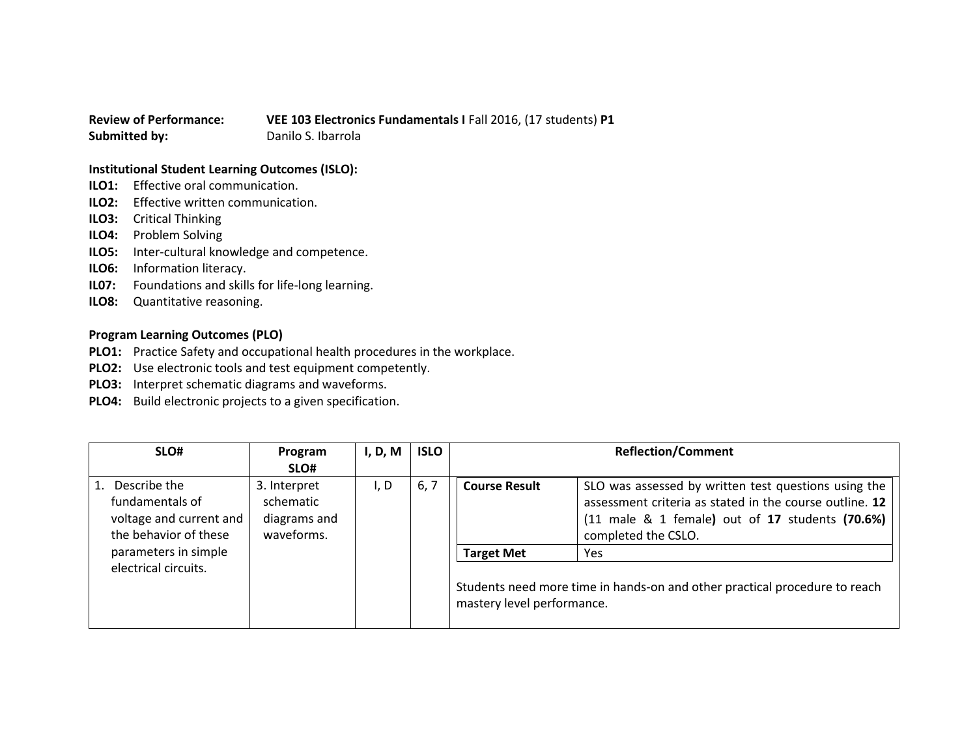## **Review of Performance: VEE 103 Electronics Fundamentals I** Fall 2016, (17 students) **P1 Submitted by:** Danilo S. Ibarrola

## **Institutional Student Learning Outcomes (ISLO):**

- **ILO1:** Effective oral communication.
- **ILO2:** Effective written communication.
- **ILO3:** Critical Thinking
- **ILO4:** Problem Solving
- **ILO5:** Inter-cultural knowledge and competence.
- **ILO6:** Information literacy.
- **IL07:** Foundations and skills for life-long learning.
- **ILO8:** Quantitative reasoning.

## **Program Learning Outcomes (PLO)**

- **PLO1:** Practice Safety and occupational health procedures in the workplace.
- **PLO2:** Use electronic tools and test equipment competently.
- **PLO3:** Interpret schematic diagrams and waveforms.
- **PLO4:** Build electronic projects to a given specification.

| SLO#                                                                                | Program                                                 | I, D, M | <b>ISLO</b> | <b>Reflection/Comment</b>                       |                                                                                                                                                                                           |
|-------------------------------------------------------------------------------------|---------------------------------------------------------|---------|-------------|-------------------------------------------------|-------------------------------------------------------------------------------------------------------------------------------------------------------------------------------------------|
|                                                                                     | SLO#                                                    |         |             |                                                 |                                                                                                                                                                                           |
| Describe the<br>fundamentals of<br>voltage and current and<br>the behavior of these | 3. Interpret<br>schematic<br>diagrams and<br>waveforms. | I, D    | 6, 7        | <b>Course Result</b>                            | SLO was assessed by written test questions using the<br>assessment criteria as stated in the course outline. 12<br>(11 male & 1 female) out of 17 students (70.6%)<br>completed the CSLO. |
| parameters in simple<br>electrical circuits.                                        |                                                         |         |             | <b>Target Met</b><br>mastery level performance. | Yes<br>Students need more time in hands-on and other practical procedure to reach                                                                                                         |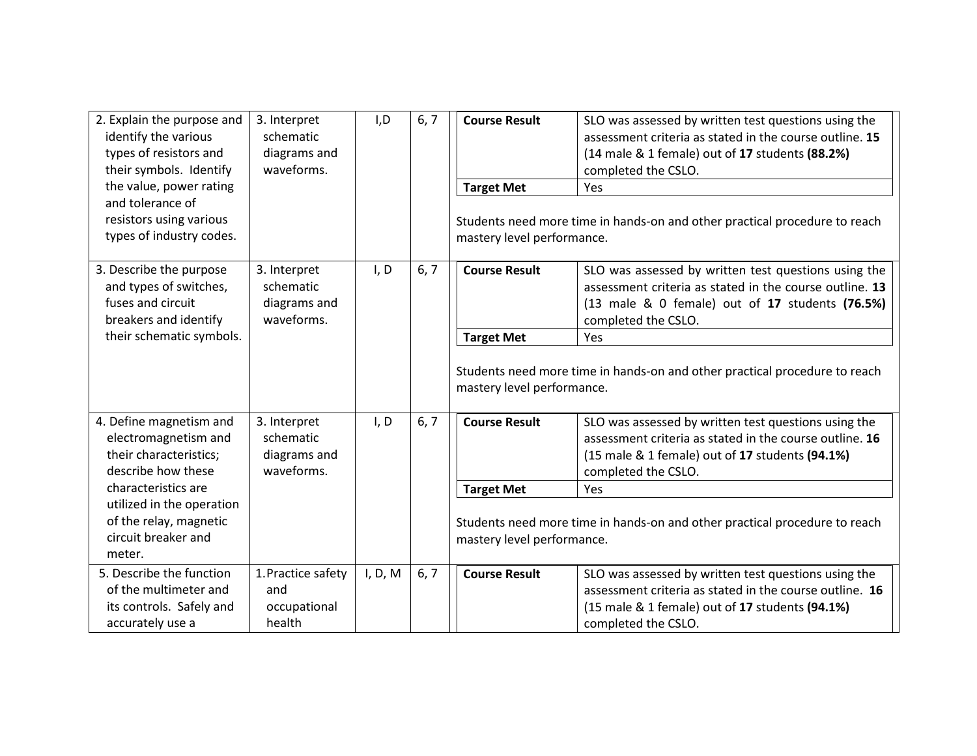| 2. Explain the purpose and<br>identify the various<br>types of resistors and<br>their symbols. Identify<br>the value, power rating<br>and tolerance of<br>resistors using various<br>types of industry codes. | 3. Interpret<br>schematic<br>diagrams and<br>waveforms. | I, D    | 6, 7 | <b>Course Result</b><br><b>Target Met</b><br>mastery level performance. | SLO was assessed by written test questions using the<br>assessment criteria as stated in the course outline. 15<br>(14 male & 1 female) out of 17 students (88.2%)<br>completed the CSLO.<br>Yes<br>Students need more time in hands-on and other practical procedure to reach |
|---------------------------------------------------------------------------------------------------------------------------------------------------------------------------------------------------------------|---------------------------------------------------------|---------|------|-------------------------------------------------------------------------|--------------------------------------------------------------------------------------------------------------------------------------------------------------------------------------------------------------------------------------------------------------------------------|
| 3. Describe the purpose<br>and types of switches,<br>fuses and circuit<br>breakers and identify<br>their schematic symbols.                                                                                   | 3. Interpret<br>schematic<br>diagrams and<br>waveforms. | I, D    | 6, 7 | <b>Course Result</b><br><b>Target Met</b>                               | SLO was assessed by written test questions using the<br>assessment criteria as stated in the course outline. 13<br>(13 male & 0 female) out of 17 students (76.5%)<br>completed the CSLO.<br>Yes                                                                               |
|                                                                                                                                                                                                               |                                                         |         |      | mastery level performance.                                              | Students need more time in hands-on and other practical procedure to reach                                                                                                                                                                                                     |
| 4. Define magnetism and<br>electromagnetism and<br>their characteristics;<br>describe how these                                                                                                               | 3. Interpret<br>schematic<br>diagrams and<br>waveforms. | I, D    | 6, 7 | <b>Course Result</b>                                                    | SLO was assessed by written test questions using the<br>assessment criteria as stated in the course outline. 16<br>(15 male & 1 female) out of 17 students (94.1%)<br>completed the CSLO.                                                                                      |
| characteristics are                                                                                                                                                                                           |                                                         |         |      | <b>Target Met</b>                                                       | Yes                                                                                                                                                                                                                                                                            |
| utilized in the operation<br>of the relay, magnetic<br>circuit breaker and<br>meter.                                                                                                                          |                                                         |         |      | mastery level performance.                                              | Students need more time in hands-on and other practical procedure to reach                                                                                                                                                                                                     |
| 5. Describe the function<br>of the multimeter and<br>its controls. Safely and<br>accurately use a                                                                                                             | 1. Practice safety<br>and<br>occupational<br>health     | I, D, M | 6, 7 | <b>Course Result</b>                                                    | SLO was assessed by written test questions using the<br>assessment criteria as stated in the course outline. 16<br>(15 male & 1 female) out of 17 students (94.1%)<br>completed the CSLO.                                                                                      |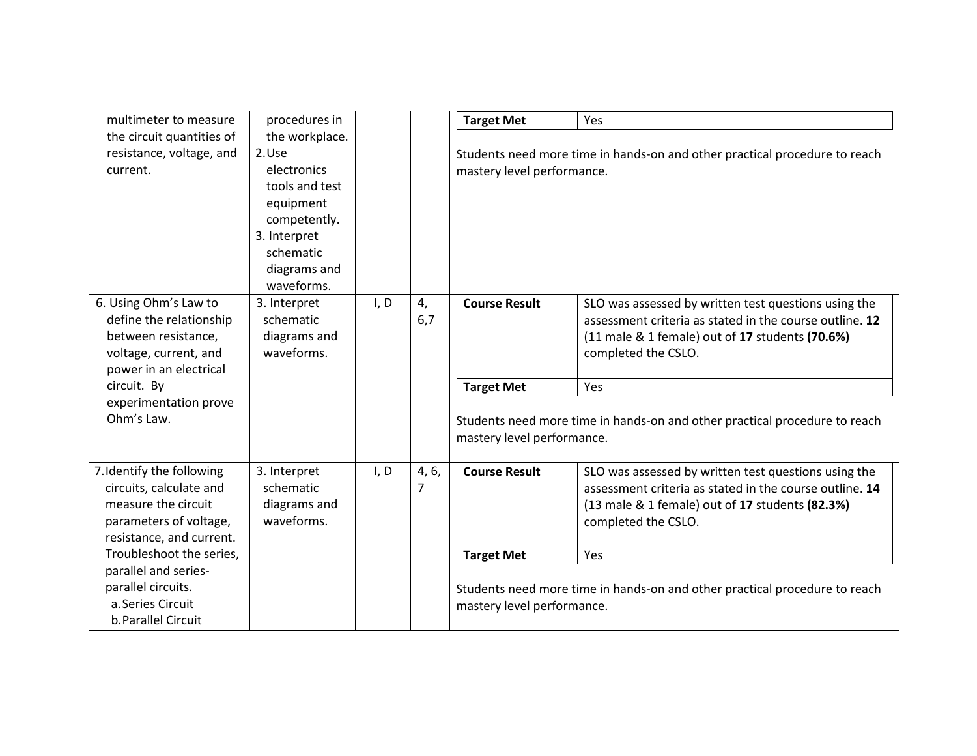| multimeter to measure                                                                                                             | procedures in                                                                                                                                    |      |            | <b>Target Met</b>          | Yes                                                                                                                                                                                       |
|-----------------------------------------------------------------------------------------------------------------------------------|--------------------------------------------------------------------------------------------------------------------------------------------------|------|------------|----------------------------|-------------------------------------------------------------------------------------------------------------------------------------------------------------------------------------------|
| the circuit quantities of<br>resistance, voltage, and<br>current.                                                                 | the workplace.<br>2.Use<br>electronics<br>tools and test<br>equipment<br>competently.<br>3. Interpret<br>schematic<br>diagrams and<br>waveforms. |      |            | mastery level performance. | Students need more time in hands-on and other practical procedure to reach                                                                                                                |
| 6. Using Ohm's Law to<br>define the relationship<br>between resistance,<br>voltage, current, and<br>power in an electrical        | 3. Interpret<br>schematic<br>diagrams and<br>waveforms.                                                                                          | I, D | 4,<br>6,7  | <b>Course Result</b>       | SLO was assessed by written test questions using the<br>assessment criteria as stated in the course outline. 12<br>(11 male & 1 female) out of 17 students (70.6%)<br>completed the CSLO. |
| circuit. By                                                                                                                       |                                                                                                                                                  |      |            | <b>Target Met</b>          | Yes                                                                                                                                                                                       |
| experimentation prove<br>Ohm's Law.                                                                                               |                                                                                                                                                  |      |            | mastery level performance. | Students need more time in hands-on and other practical procedure to reach                                                                                                                |
| 7. Identify the following<br>circuits, calculate and<br>measure the circuit<br>parameters of voltage,<br>resistance, and current. | 3. Interpret<br>schematic<br>diagrams and<br>waveforms.                                                                                          | I, D | 4, 6,<br>7 | <b>Course Result</b>       | SLO was assessed by written test questions using the<br>assessment criteria as stated in the course outline. 14<br>(13 male & 1 female) out of 17 students (82.3%)<br>completed the CSLO. |
| Troubleshoot the series,                                                                                                          |                                                                                                                                                  |      |            | <b>Target Met</b>          | Yes                                                                                                                                                                                       |
| parallel and series-<br>parallel circuits.<br>a. Series Circuit<br>b. Parallel Circuit                                            |                                                                                                                                                  |      |            | mastery level performance. | Students need more time in hands-on and other practical procedure to reach                                                                                                                |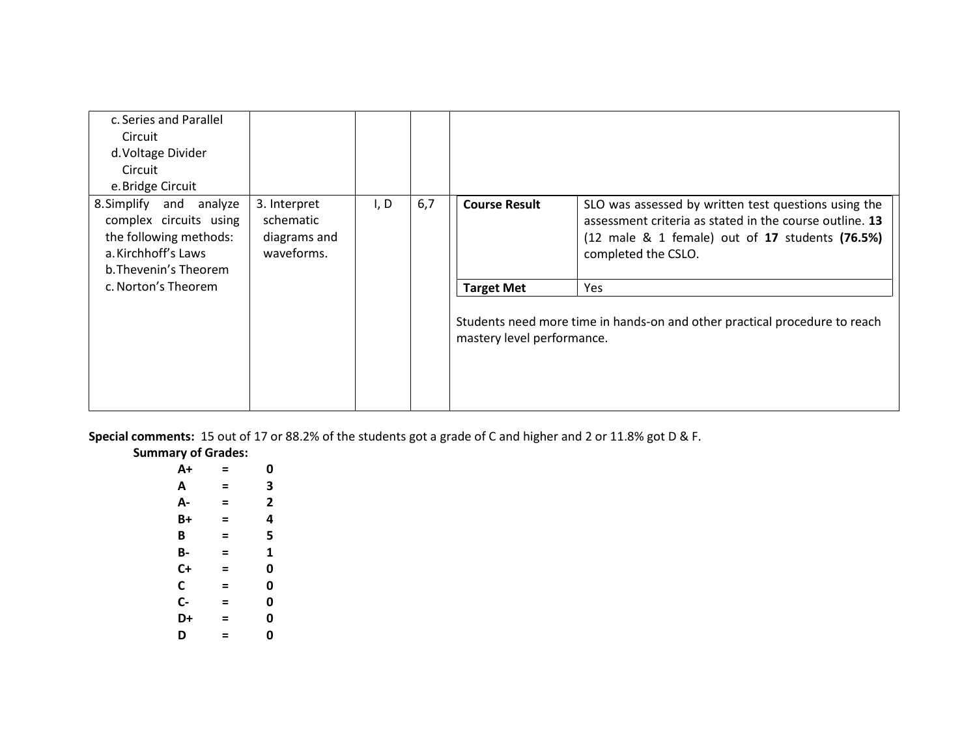| c. Series and Parallel<br>Circuit                                                                                           |                                                         |      |     |                            |                                                                                                                                                                                           |
|-----------------------------------------------------------------------------------------------------------------------------|---------------------------------------------------------|------|-----|----------------------------|-------------------------------------------------------------------------------------------------------------------------------------------------------------------------------------------|
| d. Voltage Divider                                                                                                          |                                                         |      |     |                            |                                                                                                                                                                                           |
| Circuit                                                                                                                     |                                                         |      |     |                            |                                                                                                                                                                                           |
| e. Bridge Circuit                                                                                                           |                                                         |      |     |                            |                                                                                                                                                                                           |
| 8. Simplify and analyze<br>complex circuits using<br>the following methods:<br>a. Kirchhoff's Laws<br>b. Thevenin's Theorem | 3. Interpret<br>schematic<br>diagrams and<br>waveforms. | I, D | 6,7 | <b>Course Result</b>       | SLO was assessed by written test questions using the<br>assessment criteria as stated in the course outline. 13<br>(12 male & 1 female) out of 17 students (76.5%)<br>completed the CSLO. |
| c. Norton's Theorem                                                                                                         |                                                         |      |     | <b>Target Met</b>          | Yes                                                                                                                                                                                       |
|                                                                                                                             |                                                         |      |     | mastery level performance. | Students need more time in hands-on and other practical procedure to reach                                                                                                                |

**Special comments:** 15 out of 17 or 88.2% of the students got a grade of C and higher and 2 or 11.8% got D & F.

| <b>Summary of Grades:</b> |   |                |
|---------------------------|---|----------------|
| $A+$                      | = | 0              |
| A                         | Ξ | 3              |
| А-                        | = | $\overline{2}$ |
| B+                        | Ξ | 4              |
| B                         | = | 5              |
| В-                        | Ξ | 1              |
| C+                        | Ξ | 0              |
| C                         | Ξ | 0              |
| $C-$                      | Ξ | 0              |
| D+                        | = | 0              |
| D                         | = | 0              |